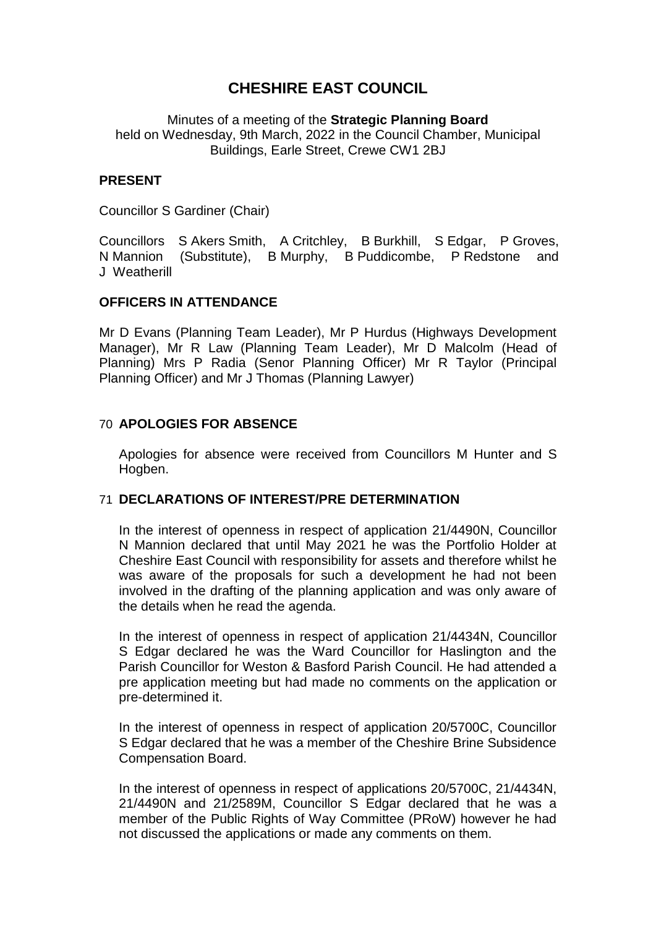# **CHESHIRE EAST COUNCIL**

Minutes of a meeting of the **Strategic Planning Board** held on Wednesday, 9th March, 2022 in the Council Chamber, Municipal Buildings, Earle Street, Crewe CW1 2BJ

### **PRESENT**

Councillor S Gardiner (Chair)

Councillors S Akers Smith, A Critchley, B Burkhill, S Edgar, P Groves, N Mannion (Substitute), B Murphy, B Puddicombe, P Redstone and J Weatherill

### **OFFICERS IN ATTENDANCE**

Mr D Evans (Planning Team Leader), Mr P Hurdus (Highways Development Manager), Mr R Law (Planning Team Leader), Mr D Malcolm (Head of Planning) Mrs P Radia (Senor Planning Officer) Mr R Taylor (Principal Planning Officer) and Mr J Thomas (Planning Lawyer)

### 70 **APOLOGIES FOR ABSENCE**

Apologies for absence were received from Councillors M Hunter and S Hogben.

### 71 **DECLARATIONS OF INTEREST/PRE DETERMINATION**

In the interest of openness in respect of application 21/4490N, Councillor N Mannion declared that until May 2021 he was the Portfolio Holder at Cheshire East Council with responsibility for assets and therefore whilst he was aware of the proposals for such a development he had not been involved in the drafting of the planning application and was only aware of the details when he read the agenda.

In the interest of openness in respect of application 21/4434N, Councillor S Edgar declared he was the Ward Councillor for Haslington and the Parish Councillor for Weston & Basford Parish Council. He had attended a pre application meeting but had made no comments on the application or pre-determined it.

In the interest of openness in respect of application 20/5700C, Councillor S Edgar declared that he was a member of the Cheshire Brine Subsidence Compensation Board.

In the interest of openness in respect of applications 20/5700C, 21/4434N, 21/4490N and 21/2589M, Councillor S Edgar declared that he was a member of the Public Rights of Way Committee (PRoW) however he had not discussed the applications or made any comments on them.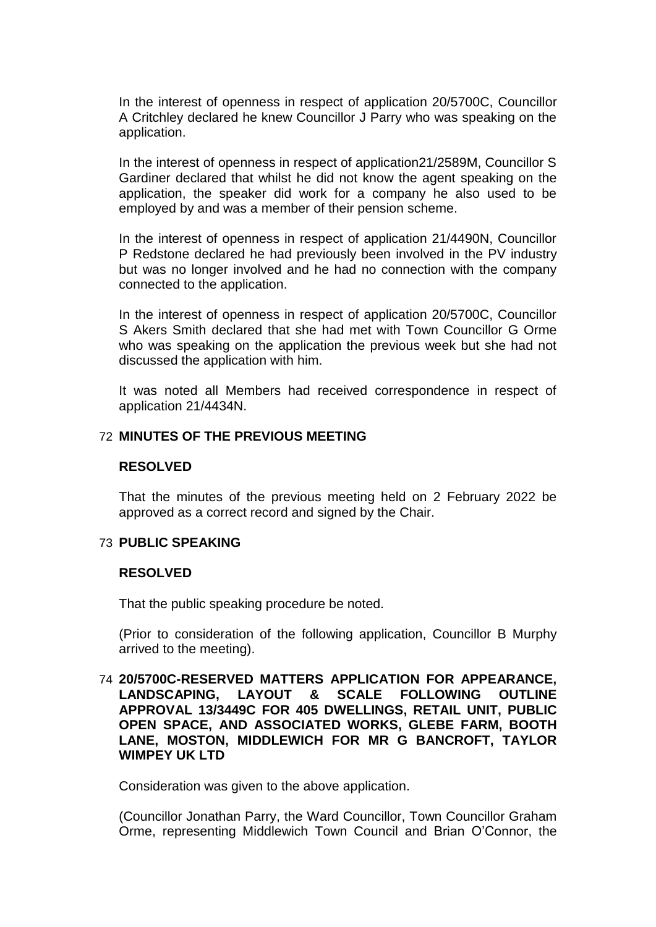In the interest of openness in respect of application 20/5700C, Councillor A Critchley declared he knew Councillor J Parry who was speaking on the application.

In the interest of openness in respect of application21/2589M, Councillor S Gardiner declared that whilst he did not know the agent speaking on the application, the speaker did work for a company he also used to be employed by and was a member of their pension scheme.

In the interest of openness in respect of application 21/4490N, Councillor P Redstone declared he had previously been involved in the PV industry but was no longer involved and he had no connection with the company connected to the application.

In the interest of openness in respect of application 20/5700C, Councillor S Akers Smith declared that she had met with Town Councillor G Orme who was speaking on the application the previous week but she had not discussed the application with him.

It was noted all Members had received correspondence in respect of application 21/4434N.

### 72 **MINUTES OF THE PREVIOUS MEETING**

#### **RESOLVED**

That the minutes of the previous meeting held on 2 February 2022 be approved as a correct record and signed by the Chair.

#### 73 **PUBLIC SPEAKING**

#### **RESOLVED**

That the public speaking procedure be noted.

(Prior to consideration of the following application, Councillor B Murphy arrived to the meeting).

74 **20/5700C-RESERVED MATTERS APPLICATION FOR APPEARANCE, LANDSCAPING, LAYOUT & SCALE FOLLOWING OUTLINE APPROVAL 13/3449C FOR 405 DWELLINGS, RETAIL UNIT, PUBLIC OPEN SPACE, AND ASSOCIATED WORKS, GLEBE FARM, BOOTH LANE, MOSTON, MIDDLEWICH FOR MR G BANCROFT, TAYLOR WIMPEY UK LTD**

Consideration was given to the above application.

(Councillor Jonathan Parry, the Ward Councillor, Town Councillor Graham Orme, representing Middlewich Town Council and Brian O'Connor, the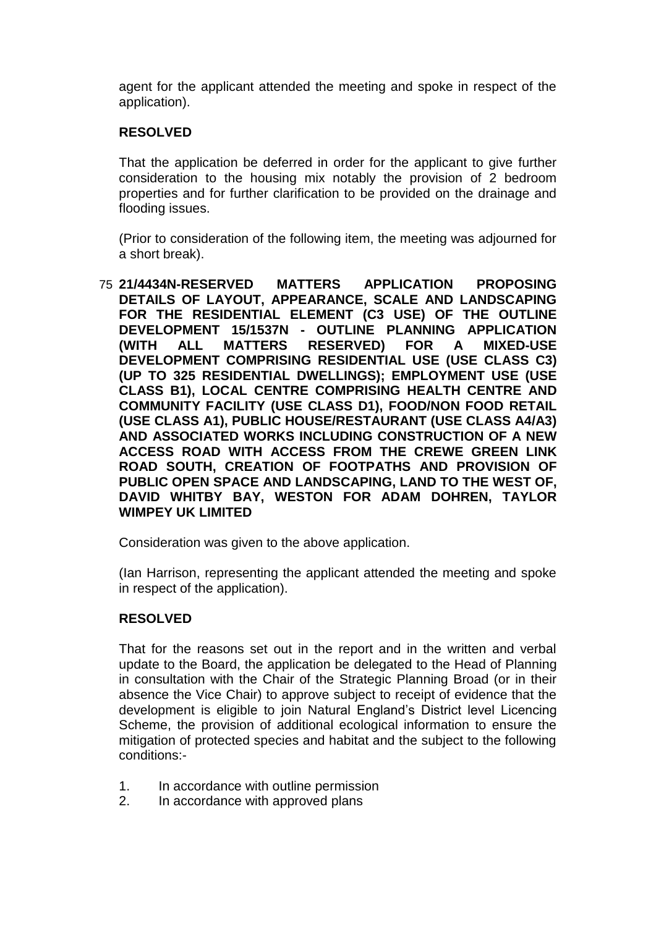agent for the applicant attended the meeting and spoke in respect of the application).

# **RESOLVED**

That the application be deferred in order for the applicant to give further consideration to the housing mix notably the provision of 2 bedroom properties and for further clarification to be provided on the drainage and flooding issues.

(Prior to consideration of the following item, the meeting was adjourned for a short break).

75 **21/4434N-RESERVED MATTERS APPLICATION PROPOSING DETAILS OF LAYOUT, APPEARANCE, SCALE AND LANDSCAPING FOR THE RESIDENTIAL ELEMENT (C3 USE) OF THE OUTLINE DEVELOPMENT 15/1537N - OUTLINE PLANNING APPLICATION (WITH ALL MATTERS RESERVED) FOR A MIXED-USE DEVELOPMENT COMPRISING RESIDENTIAL USE (USE CLASS C3) (UP TO 325 RESIDENTIAL DWELLINGS); EMPLOYMENT USE (USE CLASS B1), LOCAL CENTRE COMPRISING HEALTH CENTRE AND COMMUNITY FACILITY (USE CLASS D1), FOOD/NON FOOD RETAIL (USE CLASS A1), PUBLIC HOUSE/RESTAURANT (USE CLASS A4/A3) AND ASSOCIATED WORKS INCLUDING CONSTRUCTION OF A NEW ACCESS ROAD WITH ACCESS FROM THE CREWE GREEN LINK ROAD SOUTH, CREATION OF FOOTPATHS AND PROVISION OF PUBLIC OPEN SPACE AND LANDSCAPING, LAND TO THE WEST OF, DAVID WHITBY BAY, WESTON FOR ADAM DOHREN, TAYLOR WIMPEY UK LIMITED**

Consideration was given to the above application.

(Ian Harrison, representing the applicant attended the meeting and spoke in respect of the application).

# **RESOLVED**

That for the reasons set out in the report and in the written and verbal update to the Board, the application be delegated to the Head of Planning in consultation with the Chair of the Strategic Planning Broad (or in their absence the Vice Chair) to approve subject to receipt of evidence that the development is eligible to join Natural England's District level Licencing Scheme, the provision of additional ecological information to ensure the mitigation of protected species and habitat and the subject to the following conditions:-

- 1. In accordance with outline permission
- 2. In accordance with approved plans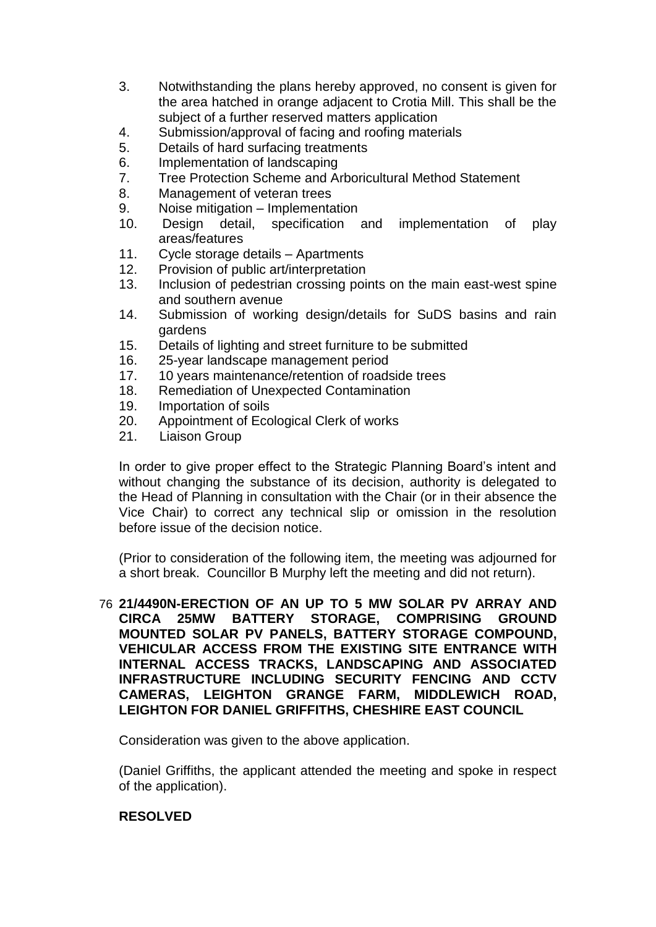- 3. Notwithstanding the plans hereby approved, no consent is given for the area hatched in orange adjacent to Crotia Mill. This shall be the subject of a further reserved matters application
- 4. Submission/approval of facing and roofing materials
- 5. Details of hard surfacing treatments
- 6. Implementation of landscaping
- 7. Tree Protection Scheme and Arboricultural Method Statement
- 8. Management of veteran trees
- 9. Noise mitigation Implementation
- 10. Design detail, specification and implementation of play areas/features
- 11. Cycle storage details Apartments
- 12. Provision of public art/interpretation
- 13. Inclusion of pedestrian crossing points on the main east-west spine and southern avenue
- 14. Submission of working design/details for SuDS basins and rain gardens
- 15. Details of lighting and street furniture to be submitted
- 16. 25-year landscape management period
- 17. 10 years maintenance/retention of roadside trees
- 18. Remediation of Unexpected Contamination
- 19. Importation of soils
- 20. Appointment of Ecological Clerk of works
- 21. Liaison Group

In order to give proper effect to the Strategic Planning Board's intent and without changing the substance of its decision, authority is delegated to the Head of Planning in consultation with the Chair (or in their absence the Vice Chair) to correct any technical slip or omission in the resolution before issue of the decision notice.

(Prior to consideration of the following item, the meeting was adjourned for a short break. Councillor B Murphy left the meeting and did not return).

76 **21/4490N-ERECTION OF AN UP TO 5 MW SOLAR PV ARRAY AND CIRCA 25MW BATTERY STORAGE, COMPRISING GROUND MOUNTED SOLAR PV PANELS, BATTERY STORAGE COMPOUND, VEHICULAR ACCESS FROM THE EXISTING SITE ENTRANCE WITH INTERNAL ACCESS TRACKS, LANDSCAPING AND ASSOCIATED INFRASTRUCTURE INCLUDING SECURITY FENCING AND CCTV CAMERAS, LEIGHTON GRANGE FARM, MIDDLEWICH ROAD, LEIGHTON FOR DANIEL GRIFFITHS, CHESHIRE EAST COUNCIL**

Consideration was given to the above application.

(Daniel Griffiths, the applicant attended the meeting and spoke in respect of the application).

# **RESOLVED**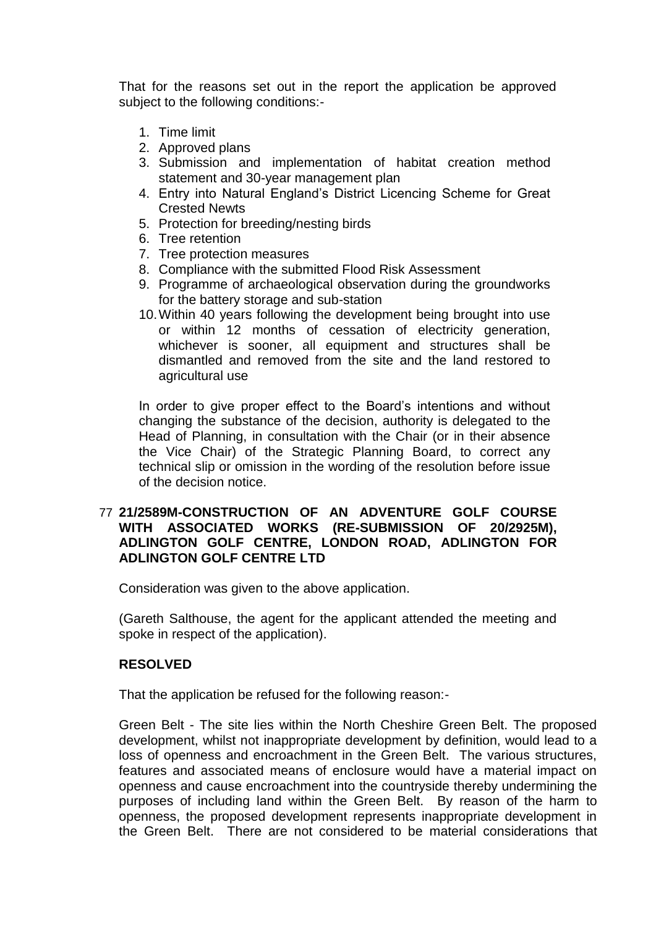That for the reasons set out in the report the application be approved subject to the following conditions:-

- 1. Time limit
- 2. Approved plans
- 3. Submission and implementation of habitat creation method statement and 30-year management plan
- 4. Entry into Natural England's District Licencing Scheme for Great Crested Newts
- 5. Protection for breeding/nesting birds
- 6. Tree retention
- 7. Tree protection measures
- 8. Compliance with the submitted Flood Risk Assessment
- 9. Programme of archaeological observation during the groundworks for the battery storage and sub-station
- 10.Within 40 years following the development being brought into use or within 12 months of cessation of electricity generation, whichever is sooner, all equipment and structures shall be dismantled and removed from the site and the land restored to agricultural use

In order to give proper effect to the Board's intentions and without changing the substance of the decision, authority is delegated to the Head of Planning, in consultation with the Chair (or in their absence the Vice Chair) of the Strategic Planning Board, to correct any technical slip or omission in the wording of the resolution before issue of the decision notice.

# 77 **21/2589M-CONSTRUCTION OF AN ADVENTURE GOLF COURSE WITH ASSOCIATED WORKS (RE-SUBMISSION OF 20/2925M), ADLINGTON GOLF CENTRE, LONDON ROAD, ADLINGTON FOR ADLINGTON GOLF CENTRE LTD**

Consideration was given to the above application.

(Gareth Salthouse, the agent for the applicant attended the meeting and spoke in respect of the application).

# **RESOLVED**

That the application be refused for the following reason:-

Green Belt - The site lies within the North Cheshire Green Belt. The proposed development, whilst not inappropriate development by definition, would lead to a loss of openness and encroachment in the Green Belt. The various structures, features and associated means of enclosure would have a material impact on openness and cause encroachment into the countryside thereby undermining the purposes of including land within the Green Belt. By reason of the harm to openness, the proposed development represents inappropriate development in the Green Belt. There are not considered to be material considerations that